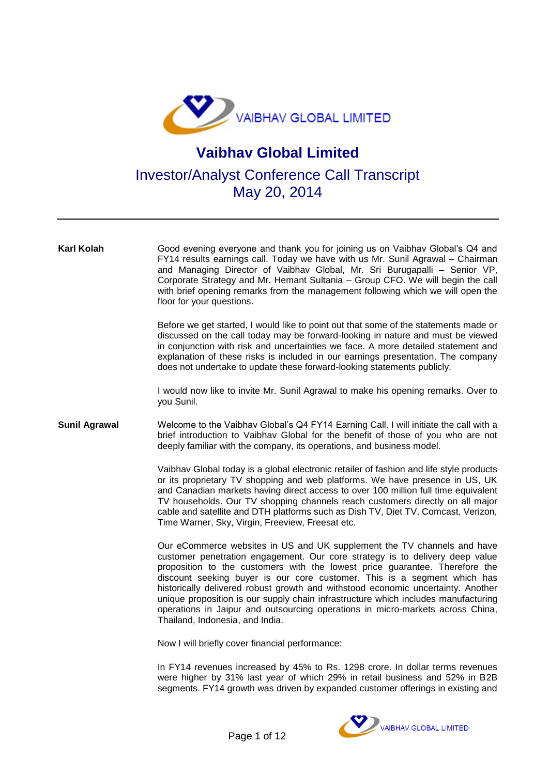

## **Vaibhav Global Limited**

Investor/Analyst Conference Call Transcript May 20, 2014

**Karl Kolah** Good evening everyone and thank you for joining us on Vaibhav Global's Q4 and FY14 results earnings call. Today we have with us Mr. Sunil Agrawal – Chairman and Managing Director of Vaibhav Global, Mr. Sri Burugapalli – Senior VP, Corporate Strategy and Mr. Hemant Sultania – Group CFO. We will begin the call with brief opening remarks from the management following which we will open the floor for your questions. Before we get started, I would like to point out that some of the statements made or discussed on the call today may be forward-looking in nature and must be viewed in conjunction with risk and uncertainties we face. A more detailed statement and explanation of these risks is included in our earnings presentation. The company does not undertake to update these forward-looking statements publicly. I would now like to invite Mr. Sunil Agrawal to make his opening remarks. Over to you Sunil. **Sunil Agrawal** Welcome to the Vaibhav Global's Q4 FY14 Earning Call. I will initiate the call with a brief introduction to Vaibhav Global for the benefit of those of you who are not deeply familiar with the company, its operations, and business model. Vaibhav Global today is a global electronic retailer of fashion and life style products or its proprietary TV shopping and web platforms. We have presence in US, UK and Canadian markets having direct access to over 100 million full time equivalent TV households. Our TV shopping channels reach customers directly on all major cable and satellite and DTH platforms such as Dish TV, Diet TV, Comcast, Verizon, Time Warner, Sky, Virgin, Freeview, Freesat etc. Our eCommerce websites in US and UK supplement the TV channels and have customer penetration engagement. Our core strategy is to delivery deep value proposition to the customers with the lowest price guarantee. Therefore the discount seeking buyer is our core customer. This is a segment which has historically delivered robust growth and withstood economic uncertainty. Another unique proposition is our supply chain infrastructure which includes manufacturing operations in Jaipur and outsourcing operations in micro-markets across China, Thailand, Indonesia, and India. Now I will briefly cover financial performance: In FY14 revenues increased by 45% to Rs. 1298 crore. In dollar terms revenues

were higher by 31% last year of which 29% in retail business and 52% in B2B segments. FY14 growth was driven by expanded customer offerings in existing and

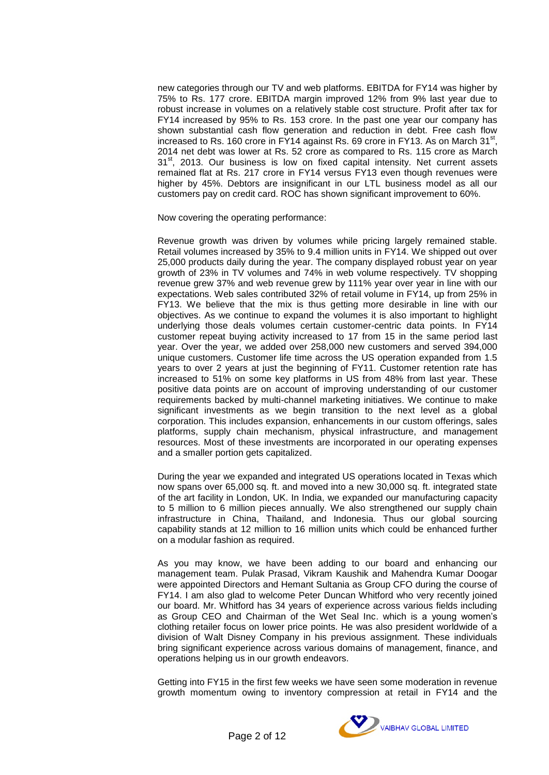new categories through our TV and web platforms. EBITDA for FY14 was higher by 75% to Rs. 177 crore. EBITDA margin improved 12% from 9% last year due to robust increase in volumes on a relatively stable cost structure. Profit after tax for FY14 increased by 95% to Rs. 153 crore. In the past one year our company has shown substantial cash flow generation and reduction in debt. Free cash flow increased to Rs. 160 crore in FY14 against Rs. 69 crore in FY13. As on March  $31<sup>st</sup>$ , 2014 net debt was lower at Rs. 52 crore as compared to Rs. 115 crore as March  $31<sup>st</sup>$ , 2013. Our business is low on fixed capital intensity. Net current assets remained flat at Rs. 217 crore in FY14 versus FY13 even though revenues were higher by 45%. Debtors are insignificant in our LTL business model as all our customers pay on credit card. ROC has shown significant improvement to 60%.

Now covering the operating performance:

Revenue growth was driven by volumes while pricing largely remained stable. Retail volumes increased by 35% to 9.4 million units in FY14. We shipped out over 25,000 products daily during the year. The company displayed robust year on year growth of 23% in TV volumes and 74% in web volume respectively. TV shopping revenue grew 37% and web revenue grew by 111% year over year in line with our expectations. Web sales contributed 32% of retail volume in FY14, up from 25% in FY13. We believe that the mix is thus getting more desirable in line with our objectives. As we continue to expand the volumes it is also important to highlight underlying those deals volumes certain customer-centric data points. In FY14 customer repeat buying activity increased to 17 from 15 in the same period last year. Over the year, we added over 258,000 new customers and served 394,000 unique customers. Customer life time across the US operation expanded from 1.5 years to over 2 years at just the beginning of FY11. Customer retention rate has increased to 51% on some key platforms in US from 48% from last year. These positive data points are on account of improving understanding of our customer requirements backed by multi-channel marketing initiatives. We continue to make significant investments as we begin transition to the next level as a global corporation. This includes expansion, enhancements in our custom offerings, sales platforms, supply chain mechanism, physical infrastructure, and management resources. Most of these investments are incorporated in our operating expenses and a smaller portion gets capitalized.

During the year we expanded and integrated US operations located in Texas which now spans over 65,000 sq. ft. and moved into a new 30,000 sq. ft. integrated state of the art facility in London, UK. In India, we expanded our manufacturing capacity to 5 million to 6 million pieces annually. We also strengthened our supply chain infrastructure in China, Thailand, and Indonesia. Thus our global sourcing capability stands at 12 million to 16 million units which could be enhanced further on a modular fashion as required.

As you may know, we have been adding to our board and enhancing our management team. Pulak Prasad, Vikram Kaushik and Mahendra Kumar Doogar were appointed Directors and Hemant Sultania as Group CFO during the course of FY14. I am also glad to welcome Peter Duncan Whitford who very recently joined our board. Mr. Whitford has 34 years of experience across various fields including as Group CEO and Chairman of the Wet Seal Inc. which is a young women's clothing retailer focus on lower price points. He was also president worldwide of a division of Walt Disney Company in his previous assignment. These individuals bring significant experience across various domains of management, finance, and operations helping us in our growth endeavors.

Getting into FY15 in the first few weeks we have seen some moderation in revenue growth momentum owing to inventory compression at retail in FY14 and the

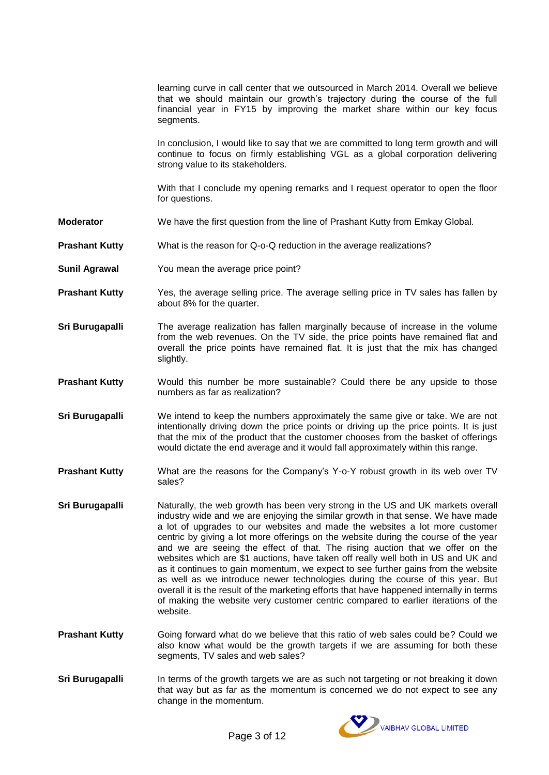| learning curve in call center that we outsourced in March 2014. Overall we believe |  |
|------------------------------------------------------------------------------------|--|
| that we should maintain our growth's trajectory during the course of the full      |  |
| financial year in FY15 by improving the market share within our key focus          |  |
| segments.                                                                          |  |

In conclusion, I would like to say that we are committed to long term growth and will continue to focus on firmly establishing VGL as a global corporation delivering strong value to its stakeholders.

With that I conclude my opening remarks and I request operator to open the floor for questions.

- **Moderator** We have the first question from the line of Prashant Kutty from Emkay Global.
- **Prashant Kutty** What is the reason for Q-o-Q reduction in the average realizations?
- **Sunil Agrawal** You mean the average price point?
- **Prashant Kutty** Yes, the average selling price. The average selling price in TV sales has fallen by about 8% for the quarter.
- **Sri Burugapalli** The average realization has fallen marginally because of increase in the volume from the web revenues. On the TV side, the price points have remained flat and overall the price points have remained flat. It is just that the mix has changed slightly.
- **Prashant Kutty** Would this number be more sustainable? Could there be any upside to those numbers as far as realization?
- **Sri Burugapalli** We intend to keep the numbers approximately the same give or take. We are not intentionally driving down the price points or driving up the price points. It is just that the mix of the product that the customer chooses from the basket of offerings would dictate the end average and it would fall approximately within this range.
- **Prashant Kutty** What are the reasons for the Company's Y-o-Y robust growth in its web over TV sales?
- **Sri Burugapalli** Naturally, the web growth has been very strong in the US and UK markets overall industry wide and we are enjoying the similar growth in that sense. We have made a lot of upgrades to our websites and made the websites a lot more customer centric by giving a lot more offerings on the website during the course of the year and we are seeing the effect of that. The rising auction that we offer on the websites which are \$1 auctions, have taken off really well both in US and UK and as it continues to gain momentum, we expect to see further gains from the website as well as we introduce newer technologies during the course of this year. But overall it is the result of the marketing efforts that have happened internally in terms of making the website very customer centric compared to earlier iterations of the website.
- **Prashant Kutty** Going forward what do we believe that this ratio of web sales could be? Could we also know what would be the growth targets if we are assuming for both these segments, TV sales and web sales?
- **Sri Burugapalli** In terms of the growth targets we are as such not targeting or not breaking it down that way but as far as the momentum is concerned we do not expect to see any change in the momentum.

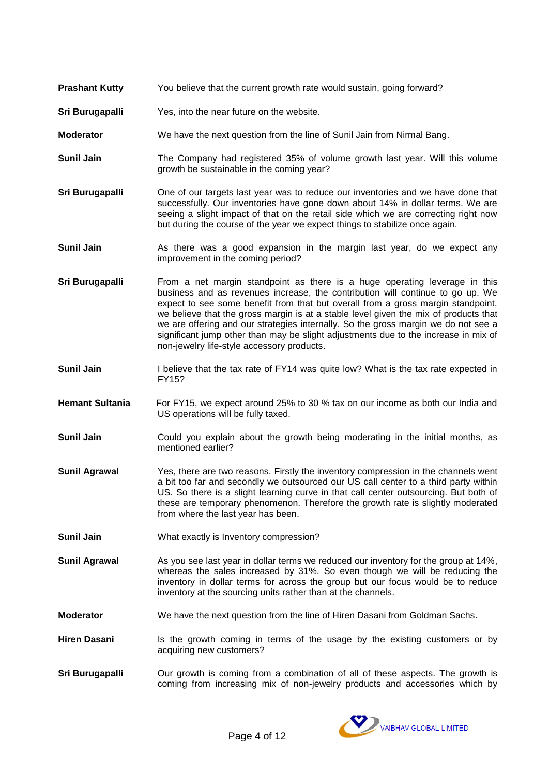- **Prashant Kutty** You believe that the current growth rate would sustain, going forward?
- **Sri Burugapalli** Yes, into the near future on the website.
- **Moderator** We have the next question from the line of Sunil Jain from Nirmal Bang.
- **Sunil Jain** The Company had registered 35% of volume growth last year. Will this volume growth be sustainable in the coming year?
- **Sri Burugapalli** One of our targets last year was to reduce our inventories and we have done that successfully. Our inventories have gone down about 14% in dollar terms. We are seeing a slight impact of that on the retail side which we are correcting right now but during the course of the year we expect things to stabilize once again.
- **Sunil Jain** As there was a good expansion in the margin last year, do we expect any improvement in the coming period?
- **Sri Burugapalli** From a net margin standpoint as there is a huge operating leverage in this business and as revenues increase, the contribution will continue to go up. We expect to see some benefit from that but overall from a gross margin standpoint, we believe that the gross margin is at a stable level given the mix of products that we are offering and our strategies internally. So the gross margin we do not see a significant jump other than may be slight adjustments due to the increase in mix of non-jewelry life-style accessory products.
- **Sunil Jain** I believe that the tax rate of FY14 was quite low? What is the tax rate expected in FY15?
- **Hemant Sultania** For FY15, we expect around 25% to 30 % tax on our income as both our India and US operations will be fully taxed.
- **Sunil Jain** Could you explain about the growth being moderating in the initial months, as mentioned earlier?
- **Sunil Agrawal** Yes, there are two reasons. Firstly the inventory compression in the channels went a bit too far and secondly we outsourced our US call center to a third party within US. So there is a slight learning curve in that call center outsourcing. But both of these are temporary phenomenon. Therefore the growth rate is slightly moderated from where the last year has been.
- **Sunil Jain** What exactly is Inventory compression?
- **Sunil Agrawal** As you see last year in dollar terms we reduced our inventory for the group at 14%, whereas the sales increased by 31%. So even though we will be reducing the inventory in dollar terms for across the group but our focus would be to reduce inventory at the sourcing units rather than at the channels.
- **Moderator** We have the next question from the line of Hiren Dasani from Goldman Sachs.
- Hiren Dasani **In the growth coming in terms of the usage by the existing customers or by** acquiring new customers?
- **Sri Burugapalli** Our growth is coming from a combination of all of these aspects. The growth is coming from increasing mix of non-jewelry products and accessories which by

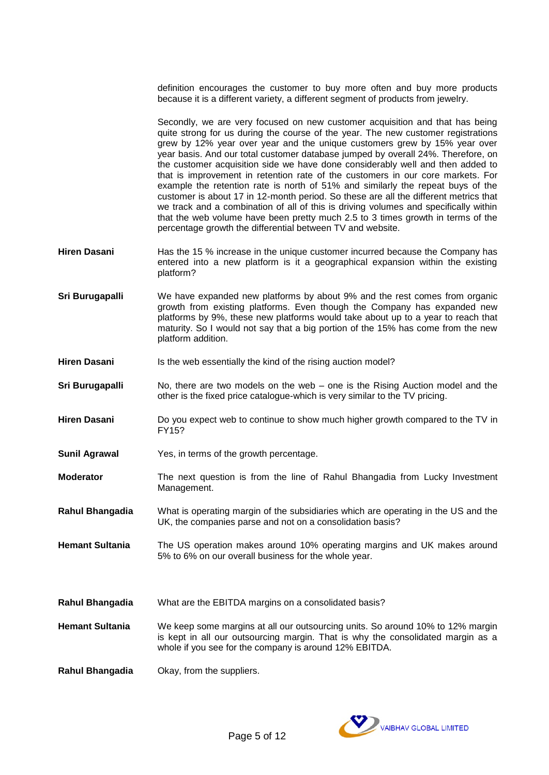definition encourages the customer to buy more often and buy more products because it is a different variety, a different segment of products from jewelry.

Secondly, we are very focused on new customer acquisition and that has being quite strong for us during the course of the year. The new customer registrations grew by 12% year over year and the unique customers grew by 15% year over year basis. And our total customer database jumped by overall 24%. Therefore, on the customer acquisition side we have done considerably well and then added to that is improvement in retention rate of the customers in our core markets. For example the retention rate is north of 51% and similarly the repeat buys of the customer is about 17 in 12-month period. So these are all the different metrics that we track and a combination of all of this is driving volumes and specifically within that the web volume have been pretty much 2.5 to 3 times growth in terms of the percentage growth the differential between TV and website.

- **Hiren Dasani** Has the 15 % increase in the unique customer incurred because the Company has entered into a new platform is it a geographical expansion within the existing platform?
- **Sri Burugapalli** We have expanded new platforms by about 9% and the rest comes from organic growth from existing platforms. Even though the Company has expanded new platforms by 9%, these new platforms would take about up to a year to reach that maturity. So I would not say that a big portion of the 15% has come from the new platform addition.
- **Hiren Dasani** Is the web essentially the kind of the rising auction model?
- **Sri Burugapalli** No, there are two models on the web one is the Rising Auction model and the other is the fixed price catalogue-which is very similar to the TV pricing.
- **Hiren Dasani** Do you expect web to continue to show much higher growth compared to the TV in FY15?
- **Sunil Agrawal** Yes, in terms of the growth percentage.
- **Moderator** The next question is from the line of Rahul Bhangadia from Lucky Investment Management.
- **Rahul Bhangadia** What is operating margin of the subsidiaries which are operating in the US and the UK, the companies parse and not on a consolidation basis?
- **Hemant Sultania** The US operation makes around 10% operating margins and UK makes around 5% to 6% on our overall business for the whole year.
- **Rahul Bhangadia** What are the EBITDA margins on a consolidated basis?
- **Hemant Sultania** We keep some margins at all our outsourcing units. So around 10% to 12% margin is kept in all our outsourcing margin. That is why the consolidated margin as a whole if you see for the company is around 12% EBITDA.
- **Rahul Bhangadia** Okay, from the suppliers.

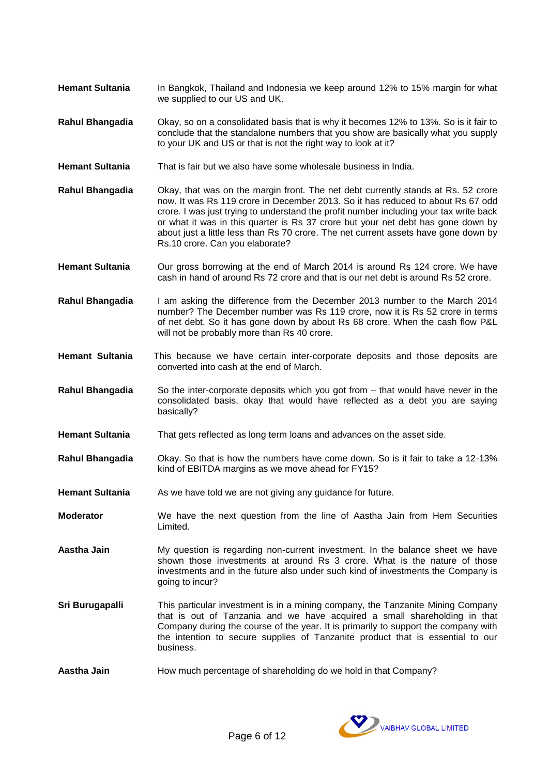- **Hemant Sultania** In Bangkok, Thailand and Indonesia we keep around 12% to 15% margin for what we supplied to our US and UK.
- **Rahul Bhangadia** Okay, so on a consolidated basis that is why it becomes 12% to 13%. So is it fair to conclude that the standalone numbers that you show are basically what you supply to your UK and US or that is not the right way to look at it?
- **Hemant Sultania** That is fair but we also have some wholesale business in India.
- **Rahul Bhangadia** Okay, that was on the margin front. The net debt currently stands at Rs. 52 crore now. It was Rs 119 crore in December 2013. So it has reduced to about Rs 67 odd crore. I was just trying to understand the profit number including your tax write back or what it was in this quarter is Rs 37 crore but your net debt has gone down by about just a little less than Rs 70 crore. The net current assets have gone down by Rs.10 crore. Can you elaborate?
- Hemant Sultania **Our gross borrowing at the end of March 2014** is around Rs 124 crore. We have cash in hand of around Rs 72 crore and that is our net debt is around Rs 52 crore.
- **Rahul Bhangadia** I am asking the difference from the December 2013 number to the March 2014 number? The December number was Rs 119 crore, now it is Rs 52 crore in terms of net debt. So it has gone down by about Rs 68 crore. When the cash flow P&L will not be probably more than Rs 40 crore.
- **Hemant Sultania** This because we have certain inter-corporate deposits and those deposits are converted into cash at the end of March.
- **Rahul Bhangadia** So the inter-corporate deposits which you got from that would have never in the consolidated basis, okay that would have reflected as a debt you are saying basically?
- **Hemant Sultania** That gets reflected as long term loans and advances on the asset side.
- **Rahul Bhangadia** Okay. So that is how the numbers have come down. So is it fair to take a 12-13% kind of EBITDA margins as we move ahead for FY15?
- **Hemant Sultania** As we have told we are not giving any guidance for future.
- **Moderator** We have the next question from the line of Aastha Jain from Hem Securities Limited.
- **Aastha Jain** My question is regarding non-current investment. In the balance sheet we have shown those investments at around Rs 3 crore. What is the nature of those investments and in the future also under such kind of investments the Company is going to incur?
- **Sri Burugapalli** This particular investment is in a mining company, the Tanzanite Mining Company that is out of Tanzania and we have acquired a small shareholding in that Company during the course of the year. It is primarily to support the company with the intention to secure supplies of Tanzanite product that is essential to our business.
- **Aastha Jain** How much percentage of shareholding do we hold in that Company?

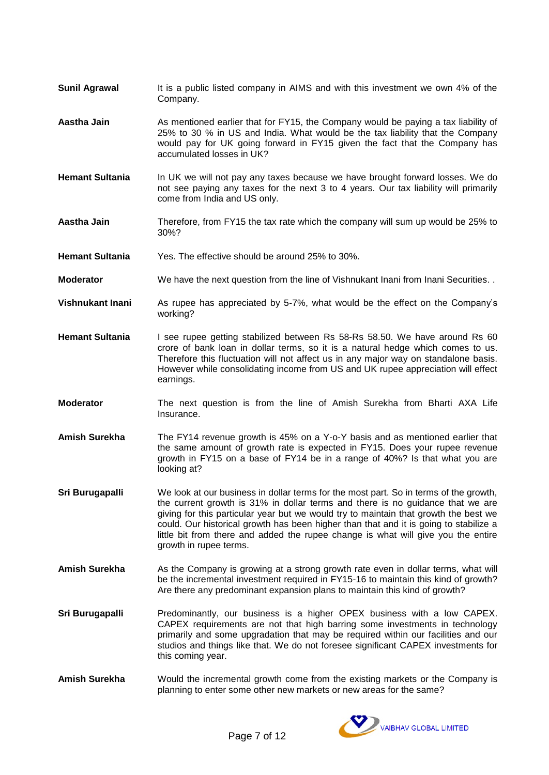- **Sunil Agrawal** It is a public listed company in AIMS and with this investment we own 4% of the Company.
- **Aastha Jain** As mentioned earlier that for FY15, the Company would be paying a tax liability of 25% to 30 % in US and India. What would be the tax liability that the Company would pay for UK going forward in FY15 given the fact that the Company has accumulated losses in UK?
- **Hemant Sultania** In UK we will not pay any taxes because we have brought forward losses. We do not see paying any taxes for the next 3 to 4 years. Our tax liability will primarily come from India and US only.
- **Aastha Jain** Therefore, from FY15 the tax rate which the company will sum up would be 25% to 30%?
- **Hemant Sultania** Yes. The effective should be around 25% to 30%.
- **Moderator** We have the next question from the line of Vishnukant Inani from Inani Securities.
- **Vishnukant Inani** As rupee has appreciated by 5-7%, what would be the effect on the Company's working?
- **Hemant Sultania** I see rupee getting stabilized between Rs 58-Rs 58.50. We have around Rs 60 crore of bank loan in dollar terms, so it is a natural hedge which comes to us. Therefore this fluctuation will not affect us in any major way on standalone basis. However while consolidating income from US and UK rupee appreciation will effect earnings.
- **Moderator** The next question is from the line of Amish Surekha from Bharti AXA Life Insurance.
- **Amish Surekha** The FY14 revenue growth is 45% on a Y-o-Y basis and as mentioned earlier that the same amount of growth rate is expected in FY15. Does your rupee revenue growth in FY15 on a base of FY14 be in a range of 40%? Is that what you are looking at?
- **Sri Burugapalli** We look at our business in dollar terms for the most part. So in terms of the growth, the current growth is 31% in dollar terms and there is no guidance that we are giving for this particular year but we would try to maintain that growth the best we could. Our historical growth has been higher than that and it is going to stabilize a little bit from there and added the rupee change is what will give you the entire growth in rupee terms.
- Amish Surekha **As the Company is growing at a strong growth rate even in dollar terms, what will** be the incremental investment required in FY15-16 to maintain this kind of growth? Are there any predominant expansion plans to maintain this kind of growth?
- **Sri Burugapalli** Predominantly, our business is a higher OPEX business with a low CAPEX. CAPEX requirements are not that high barring some investments in technology primarily and some upgradation that may be required within our facilities and our studios and things like that. We do not foresee significant CAPEX investments for this coming year.
- **Amish Surekha** Would the incremental growth come from the existing markets or the Company is planning to enter some other new markets or new areas for the same?

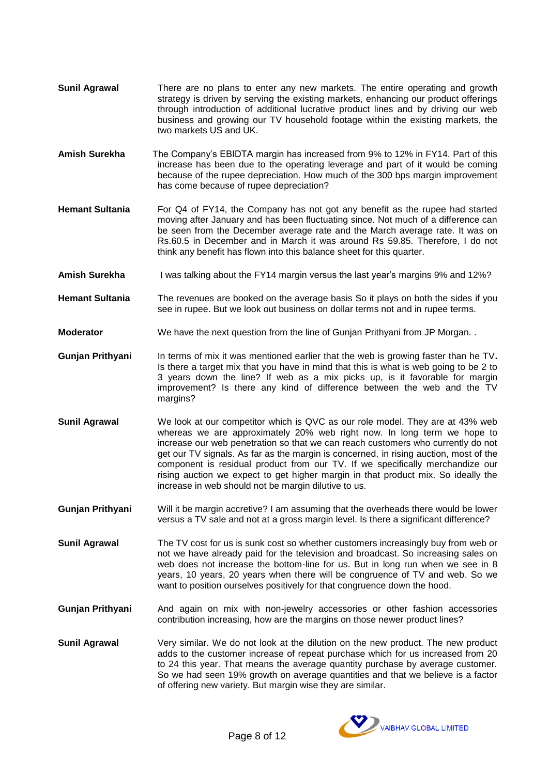- **Sunil Agrawal** There are no plans to enter any new markets. The entire operating and growth strategy is driven by serving the existing markets, enhancing our product offerings through introduction of additional lucrative product lines and by driving our web business and growing our TV household footage within the existing markets, the two markets US and UK.
- **Amish Surekha** The Company's EBIDTA margin has increased from 9% to 12% in FY14. Part of this increase has been due to the operating leverage and part of it would be coming because of the rupee depreciation. How much of the 300 bps margin improvement has come because of rupee depreciation?
- **Hemant Sultania** For Q4 of FY14, the Company has not got any benefit as the rupee had started moving after January and has been fluctuating since. Not much of a difference can be seen from the December average rate and the March average rate. It was on Rs.60.5 in December and in March it was around Rs 59.85. Therefore, I do not think any benefit has flown into this balance sheet for this quarter.
- Amish Surekha I was talking about the FY14 margin versus the last year's margins 9% and 12%?
- **Hemant Sultania** The revenues are booked on the average basis So it plays on both the sides if you see in rupee. But we look out business on dollar terms not and in rupee terms.
- **Moderator** We have the next question from the line of Gunjan Prithyani from JP Morgan.
- Gunjan Prithyani In terms of mix it was mentioned earlier that the web is growing faster than he TV. Is there a target mix that you have in mind that this is what is web going to be 2 to 3 years down the line? If web as a mix picks up, is it favorable for margin improvement? Is there any kind of difference between the web and the TV margins?
- **Sunil Agrawal** We look at our competitor which is QVC as our role model. They are at 43% web whereas we are approximately 20% web right now. In long term we hope to increase our web penetration so that we can reach customers who currently do not get our TV signals. As far as the margin is concerned, in rising auction, most of the component is residual product from our TV. If we specifically merchandize our rising auction we expect to get higher margin in that product mix. So ideally the increase in web should not be margin dilutive to us.
- **Gunjan Prithyani** Will it be margin accretive? I am assuming that the overheads there would be lower versus a TV sale and not at a gross margin level. Is there a significant difference?
- **Sunil Agrawal** The TV cost for us is sunk cost so whether customers increasingly buy from web or not we have already paid for the television and broadcast. So increasing sales on web does not increase the bottom-line for us. But in long run when we see in 8 years, 10 years, 20 years when there will be congruence of TV and web. So we want to position ourselves positively for that congruence down the hood.
- **Gunjan Prithyani** And again on mix with non-jewelry accessories or other fashion accessories contribution increasing, how are the margins on those newer product lines?
- **Sunil Agrawal** Very similar. We do not look at the dilution on the new product. The new product adds to the customer increase of repeat purchase which for us increased from 20 to 24 this year. That means the average quantity purchase by average customer. So we had seen 19% growth on average quantities and that we believe is a factor of offering new variety. But margin wise they are similar.

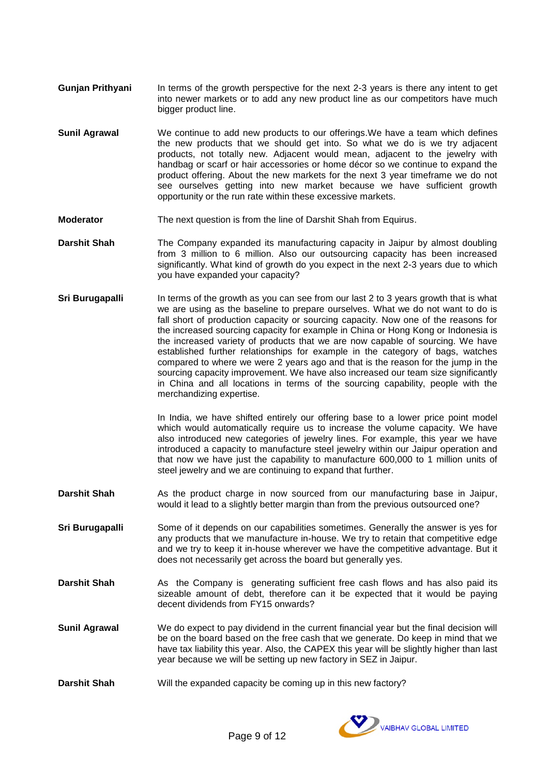- **Gunjan Prithyani** In terms of the growth perspective for the next 2-3 years is there any intent to get into newer markets or to add any new product line as our competitors have much bigger product line.
- **Sunil Agrawal** We continue to add new products to our offerings.We have a team which defines the new products that we should get into. So what we do is we try adjacent products, not totally new. Adjacent would mean, adjacent to the jewelry with handbag or scarf or hair accessories or home décor so we continue to expand the product offering. About the new markets for the next 3 year timeframe we do not see ourselves getting into new market because we have sufficient growth opportunity or the run rate within these excessive markets.
- **Moderator** The next question is from the line of Darshit Shah from Equirus.
- **Darshit Shah** The Company expanded its manufacturing capacity in Jaipur by almost doubling from 3 million to 6 million. Also our outsourcing capacity has been increased significantly. What kind of growth do you expect in the next 2-3 years due to which you have expanded your capacity?
- **Sri Burugapalli** In terms of the growth as you can see from our last 2 to 3 years growth that is what we are using as the baseline to prepare ourselves. What we do not want to do is fall short of production capacity or sourcing capacity. Now one of the reasons for the increased sourcing capacity for example in China or Hong Kong or Indonesia is the increased variety of products that we are now capable of sourcing. We have established further relationships for example in the category of bags, watches compared to where we were 2 years ago and that is the reason for the jump in the sourcing capacity improvement. We have also increased our team size significantly in China and all locations in terms of the sourcing capability, people with the merchandizing expertise.

In India, we have shifted entirely our offering base to a lower price point model which would automatically require us to increase the volume capacity. We have also introduced new categories of jewelry lines. For example, this year we have introduced a capacity to manufacture steel jewelry within our Jaipur operation and that now we have just the capability to manufacture 600,000 to 1 million units of steel jewelry and we are continuing to expand that further.

- **Darshit Shah** As the product charge in now sourced from our manufacturing base in Jaipur, would it lead to a slightly better margin than from the previous outsourced one?
- **Sri Burugapalli** Some of it depends on our capabilities sometimes. Generally the answer is yes for any products that we manufacture in-house. We try to retain that competitive edge and we try to keep it in-house wherever we have the competitive advantage. But it does not necessarily get across the board but generally yes.
- **Darshit Shah** As the Company is generating sufficient free cash flows and has also paid its sizeable amount of debt, therefore can it be expected that it would be paying decent dividends from FY15 onwards?
- **Sunil Agrawal** We do expect to pay dividend in the current financial year but the final decision will be on the board based on the free cash that we generate. Do keep in mind that we have tax liability this year. Also, the CAPEX this year will be slightly higher than last year because we will be setting up new factory in SEZ in Jaipur.
- **Darshit Shah** Will the expanded capacity be coming up in this new factory?

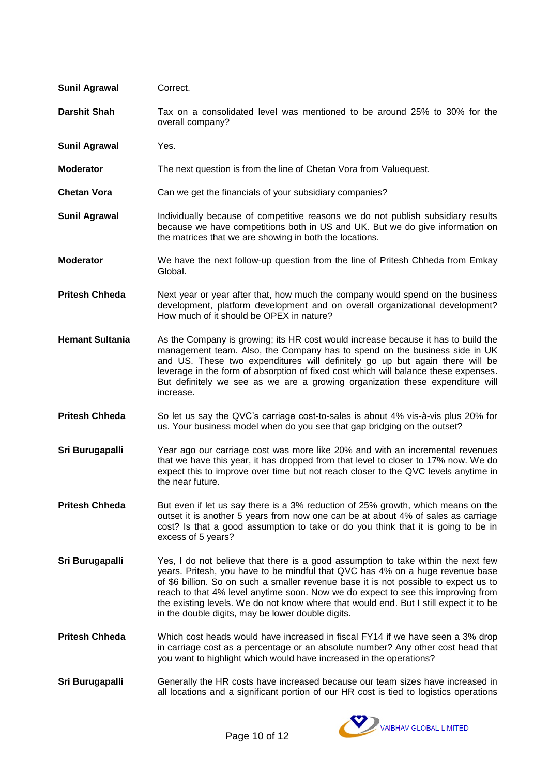| <b>Sunil Agrawal</b>   | Correct.                                                                                                                                                                                                                                                                                                                                                                                                                                                                                     |
|------------------------|----------------------------------------------------------------------------------------------------------------------------------------------------------------------------------------------------------------------------------------------------------------------------------------------------------------------------------------------------------------------------------------------------------------------------------------------------------------------------------------------|
| <b>Darshit Shah</b>    | Tax on a consolidated level was mentioned to be around 25% to 30% for the<br>overall company?                                                                                                                                                                                                                                                                                                                                                                                                |
| <b>Sunil Agrawal</b>   | Yes.                                                                                                                                                                                                                                                                                                                                                                                                                                                                                         |
| <b>Moderator</b>       | The next question is from the line of Chetan Vora from Valuequest.                                                                                                                                                                                                                                                                                                                                                                                                                           |
| <b>Chetan Vora</b>     | Can we get the financials of your subsidiary companies?                                                                                                                                                                                                                                                                                                                                                                                                                                      |
| <b>Sunil Agrawal</b>   | Individually because of competitive reasons we do not publish subsidiary results<br>because we have competitions both in US and UK. But we do give information on<br>the matrices that we are showing in both the locations.                                                                                                                                                                                                                                                                 |
| <b>Moderator</b>       | We have the next follow-up question from the line of Pritesh Chheda from Emkay<br>Global.                                                                                                                                                                                                                                                                                                                                                                                                    |
| <b>Pritesh Chheda</b>  | Next year or year after that, how much the company would spend on the business<br>development, platform development and on overall organizational development?<br>How much of it should be OPEX in nature?                                                                                                                                                                                                                                                                                   |
| <b>Hemant Sultania</b> | As the Company is growing; its HR cost would increase because it has to build the<br>management team. Also, the Company has to spend on the business side in UK<br>and US. These two expenditures will definitely go up but again there will be<br>leverage in the form of absorption of fixed cost which will balance these expenses.<br>But definitely we see as we are a growing organization these expenditure will<br>increase.                                                         |
| <b>Pritesh Chheda</b>  | So let us say the QVC's carriage cost-to-sales is about 4% vis-à-vis plus 20% for<br>us. Your business model when do you see that gap bridging on the outset?                                                                                                                                                                                                                                                                                                                                |
| Sri Burugapalli        | Year ago our carriage cost was more like 20% and with an incremental revenues<br>that we have this year, it has dropped from that level to closer to 17% now. We do<br>expect this to improve over time but not reach closer to the QVC levels anytime in<br>the near future.                                                                                                                                                                                                                |
| <b>Pritesh Chheda</b>  | But even if let us say there is a 3% reduction of 25% growth, which means on the<br>outset it is another 5 years from now one can be at about 4% of sales as carriage<br>cost? Is that a good assumption to take or do you think that it is going to be in<br>excess of 5 years?                                                                                                                                                                                                             |
| Sri Burugapalli        | Yes, I do not believe that there is a good assumption to take within the next few<br>years. Pritesh, you have to be mindful that QVC has 4% on a huge revenue base<br>of \$6 billion. So on such a smaller revenue base it is not possible to expect us to<br>reach to that 4% level anytime soon. Now we do expect to see this improving from<br>the existing levels. We do not know where that would end. But I still expect it to be<br>in the double digits, may be lower double digits. |
| <b>Pritesh Chheda</b>  | Which cost heads would have increased in fiscal FY14 if we have seen a 3% drop<br>in carriage cost as a percentage or an absolute number? Any other cost head that<br>you want to highlight which would have increased in the operations?                                                                                                                                                                                                                                                    |
| Sri Burugapalli        | Generally the HR costs have increased because our team sizes have increased in<br>all locations and a significant portion of our HR cost is tied to logistics operations                                                                                                                                                                                                                                                                                                                     |

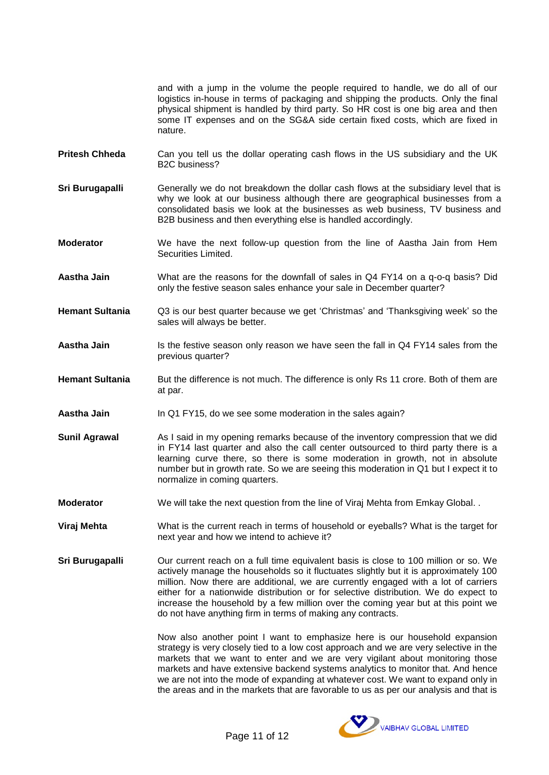and with a jump in the volume the people required to handle, we do all of our logistics in-house in terms of packaging and shipping the products. Only the final physical shipment is handled by third party. So HR cost is one big area and then some IT expenses and on the SG&A side certain fixed costs, which are fixed in nature.

- **Pritesh Chheda** Can you tell us the dollar operating cash flows in the US subsidiary and the UK B2C business?
- **Sri Burugapalli** Generally we do not breakdown the dollar cash flows at the subsidiary level that is why we look at our business although there are geographical businesses from a consolidated basis we look at the businesses as web business, TV business and B2B business and then everything else is handled accordingly.

**Moderator** We have the next follow-up question from the line of Aastha Jain from Hem Securities Limited.

**Aastha Jain** What are the reasons for the downfall of sales in Q4 FY14 on a q-o-q basis? Did only the festive season sales enhance your sale in December quarter?

**Hemant Sultania** Q3 is our best quarter because we get 'Christmas' and 'Thanksgiving week' so the sales will always be better.

Aastha Jain **Inter is the festive season only reason we have seen the fall in Q4 FY14 sales from the** previous quarter?

**Hemant Sultania** But the difference is not much. The difference is only Rs 11 crore. Both of them are at par.

- **Aastha Jain** In Q1 FY15, do we see some moderation in the sales again?
- **Sunil Agrawal** As I said in my opening remarks because of the inventory compression that we did in FY14 last quarter and also the call center outsourced to third party there is a learning curve there, so there is some moderation in growth, not in absolute number but in growth rate. So we are seeing this moderation in Q1 but I expect it to normalize in coming quarters.
- **Moderator** We will take the next question from the line of Viraj Mehta from Emkay Global. .

**Viraj Mehta** What is the current reach in terms of household or eyeballs? What is the target for next year and how we intend to achieve it?

**Sri Burugapalli** Our current reach on a full time equivalent basis is close to 100 million or so. We actively manage the households so it fluctuates slightly but it is approximately 100 million. Now there are additional, we are currently engaged with a lot of carriers either for a nationwide distribution or for selective distribution. We do expect to increase the household by a few million over the coming year but at this point we do not have anything firm in terms of making any contracts.

> Now also another point I want to emphasize here is our household expansion strategy is very closely tied to a low cost approach and we are very selective in the markets that we want to enter and we are very vigilant about monitoring those markets and have extensive backend systems analytics to monitor that. And hence we are not into the mode of expanding at whatever cost. We want to expand only in the areas and in the markets that are favorable to us as per our analysis and that is